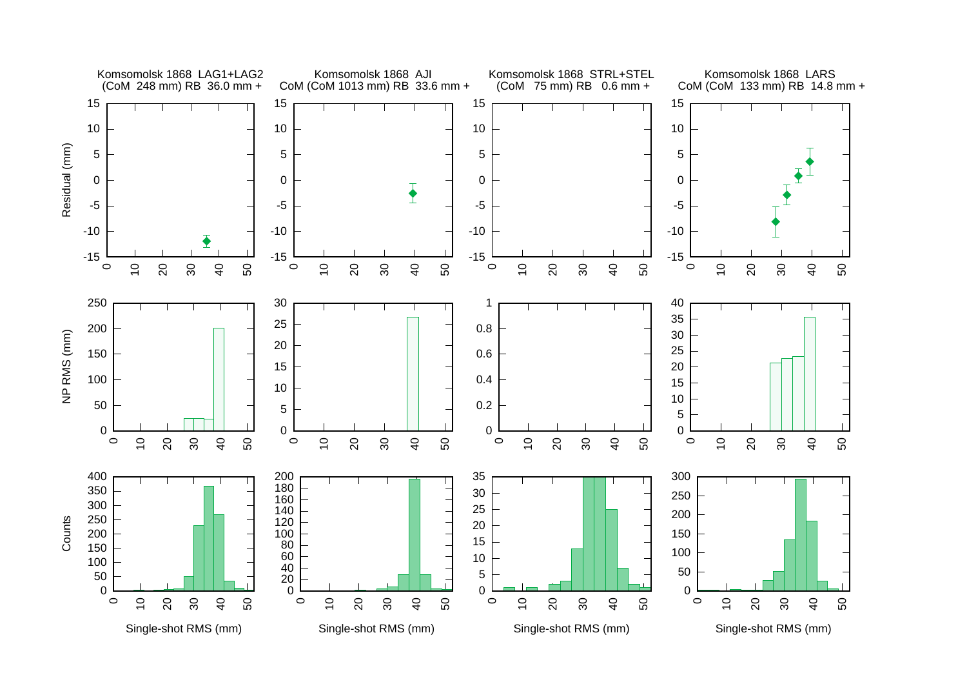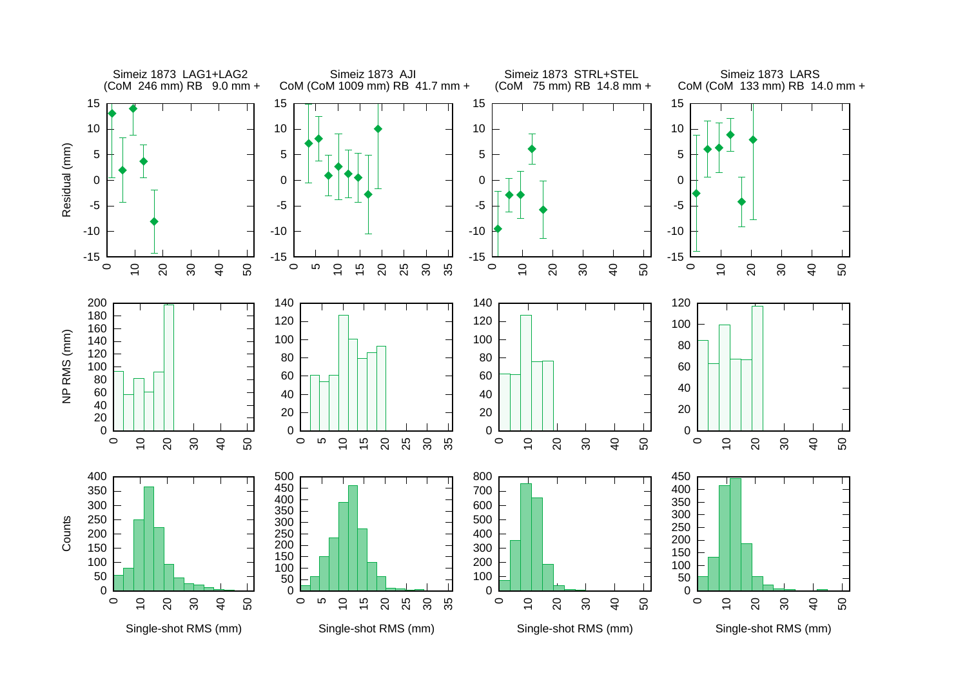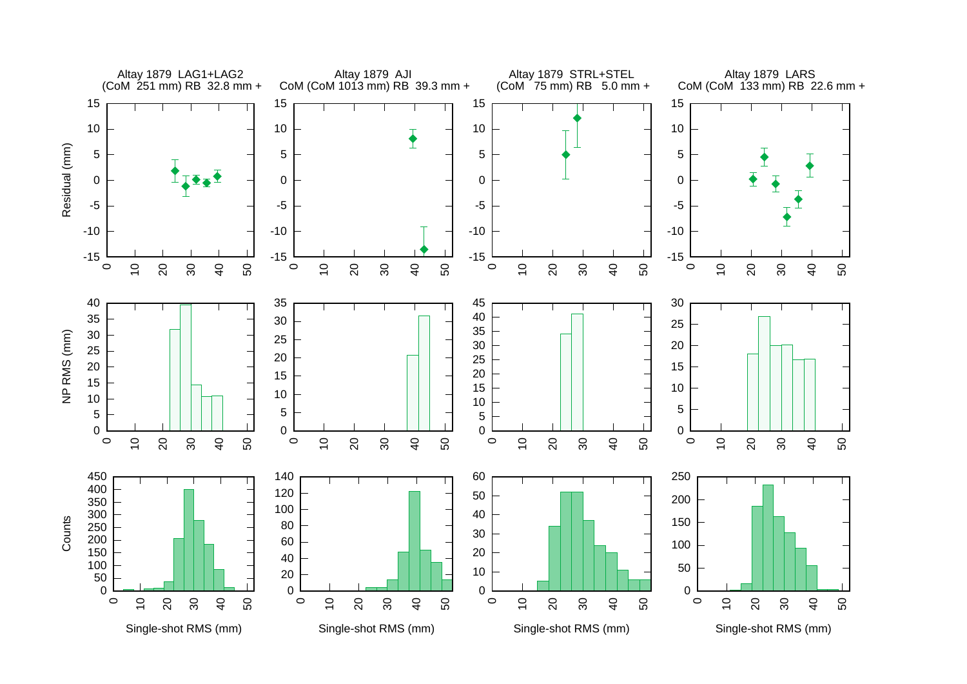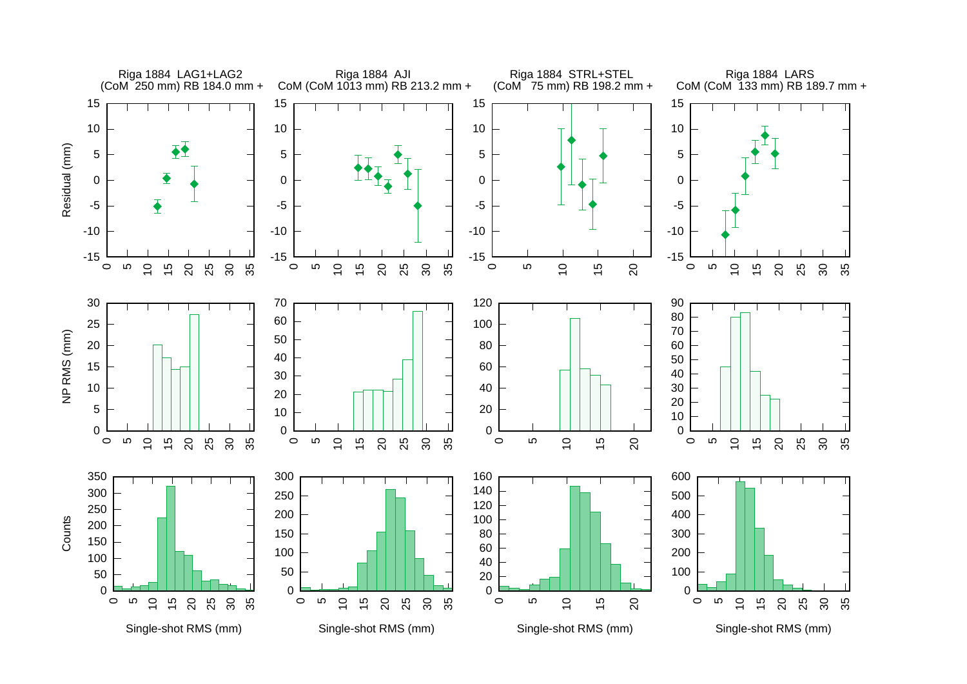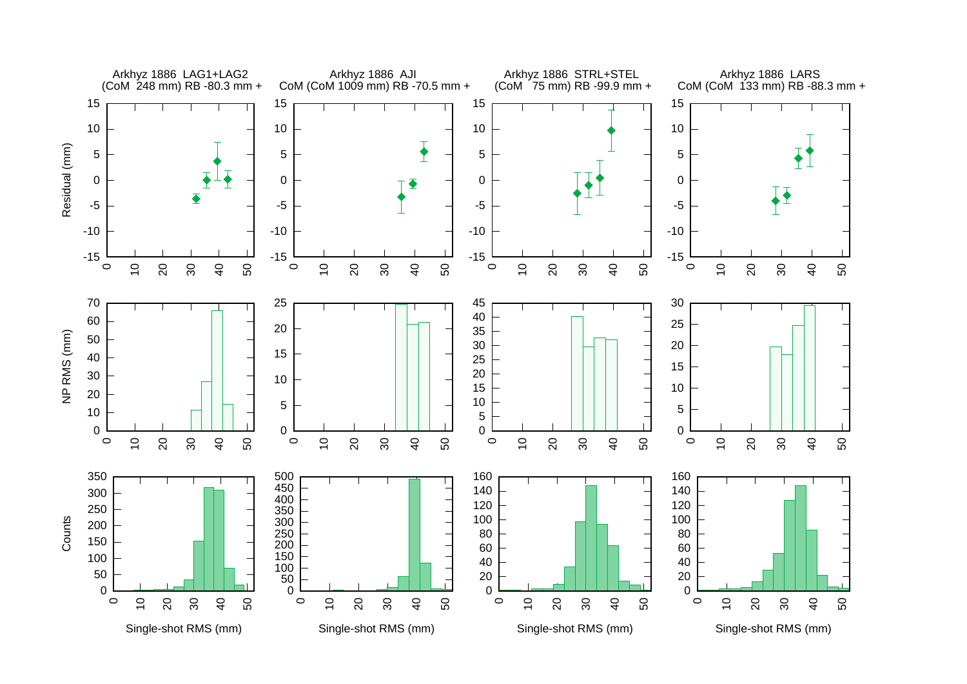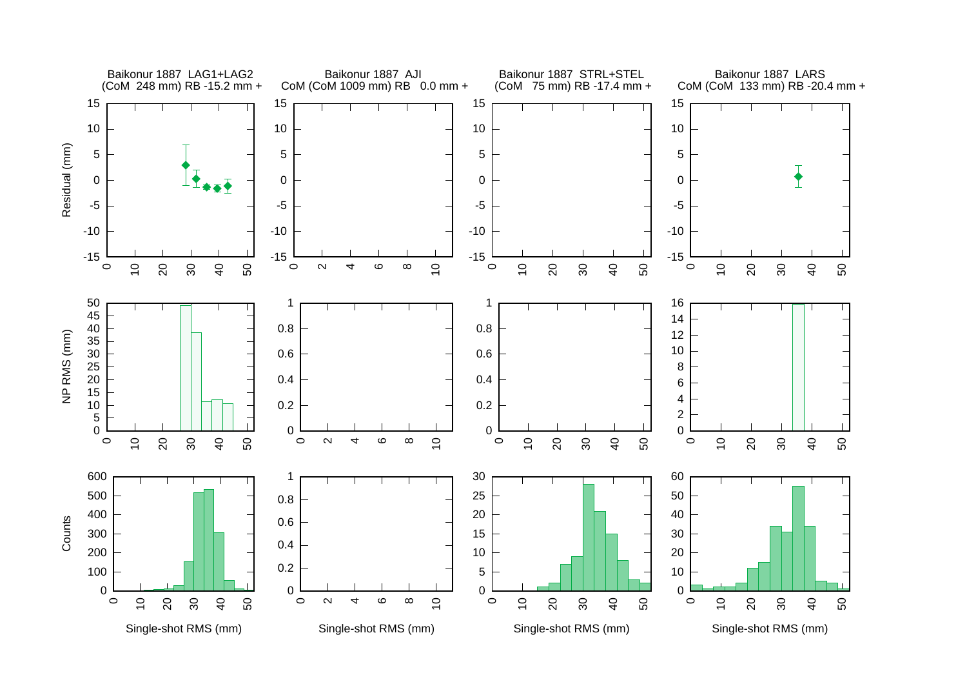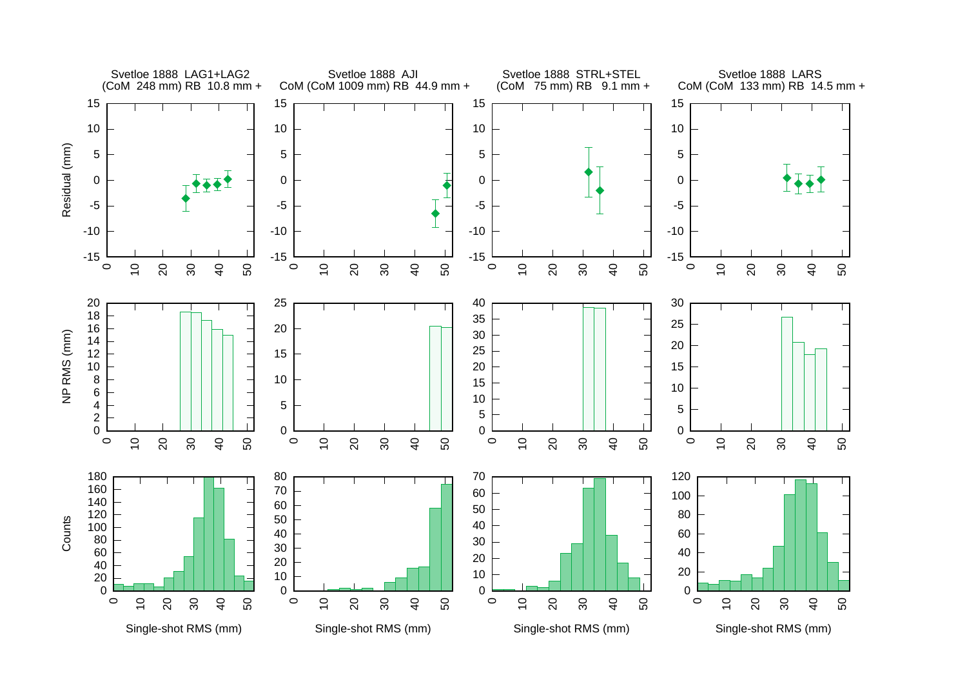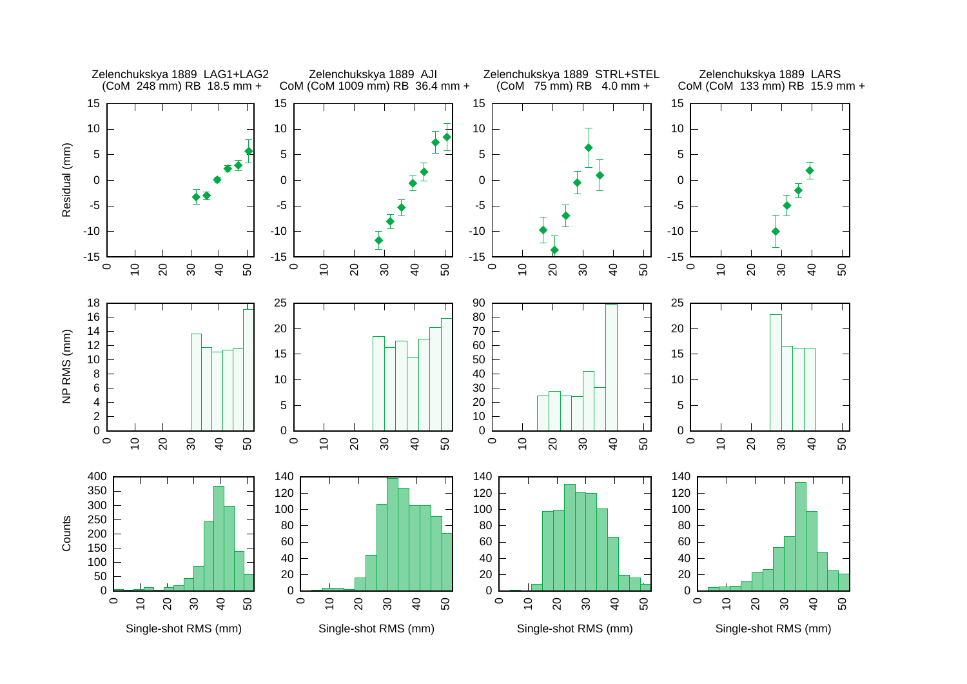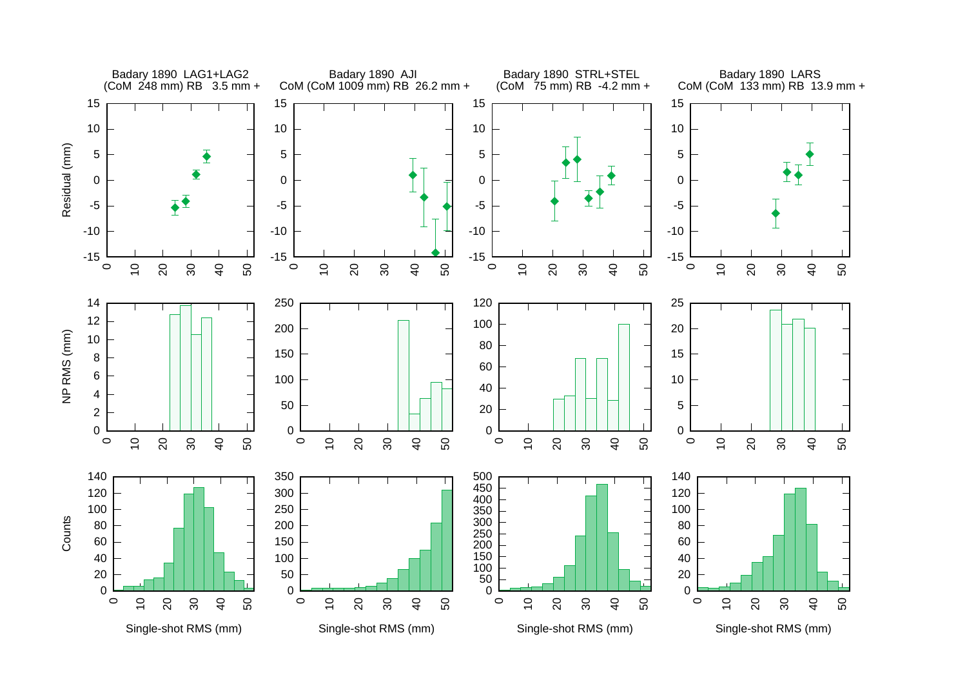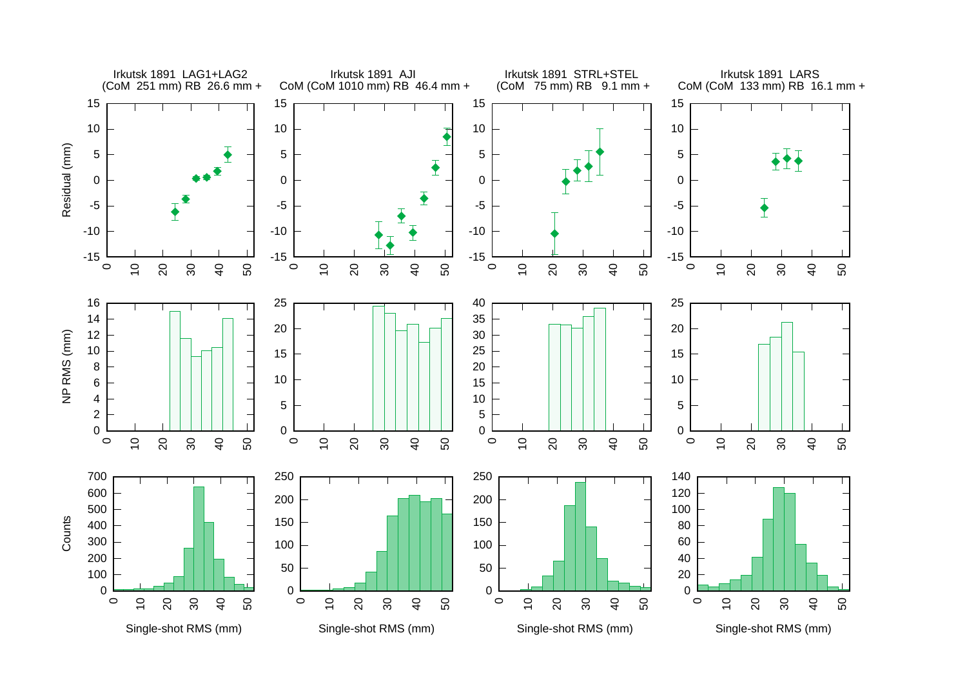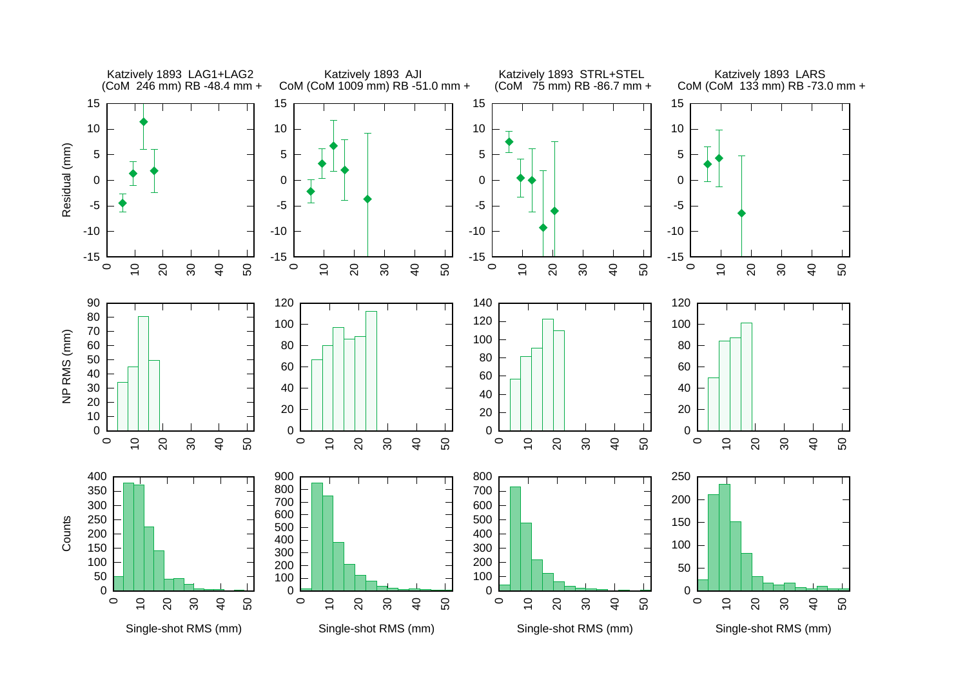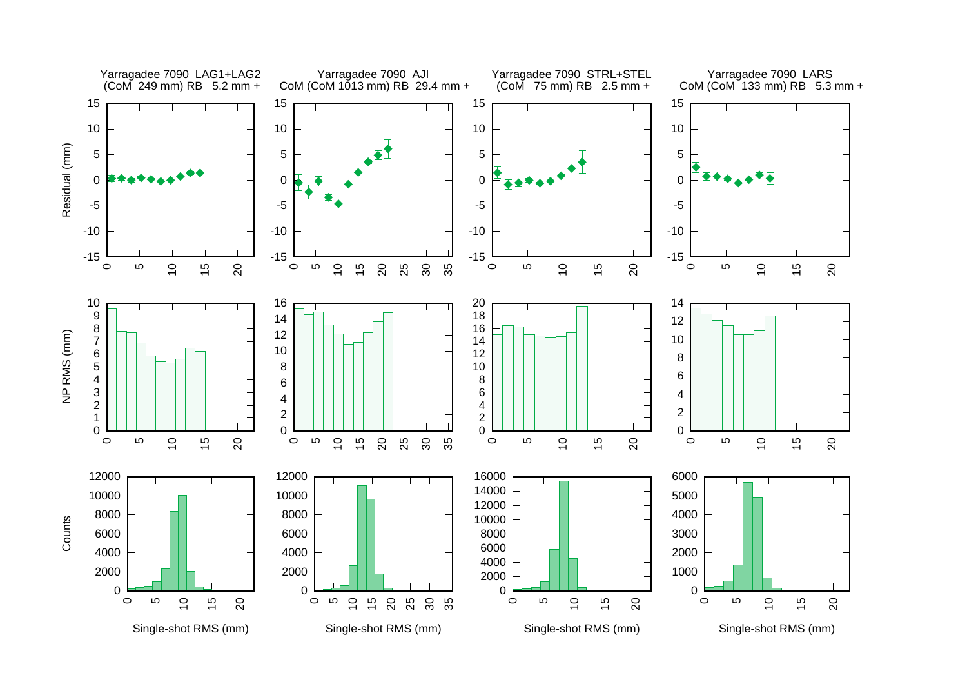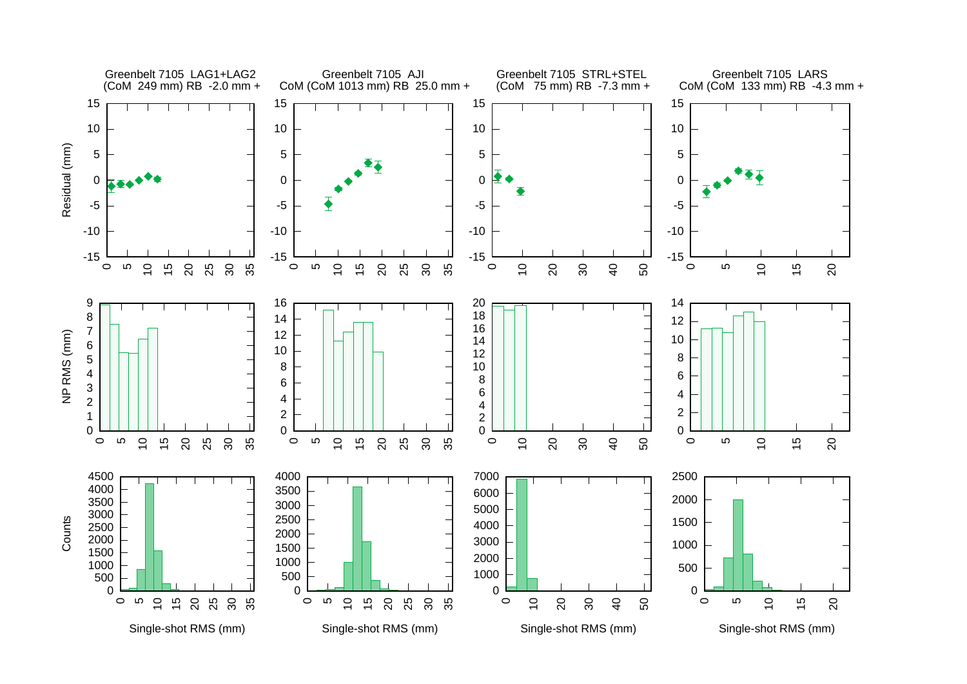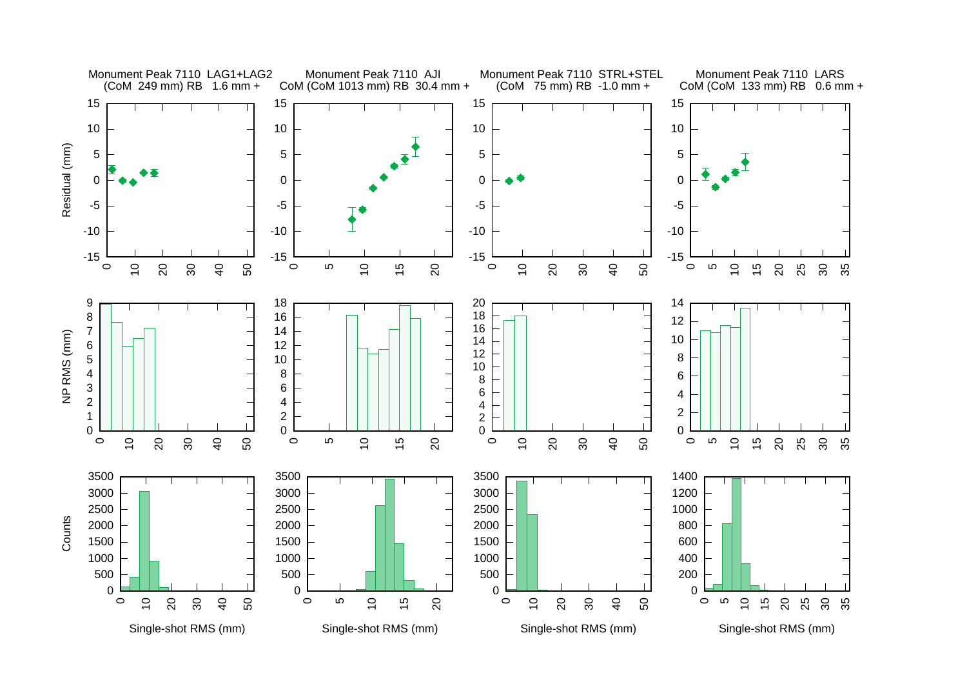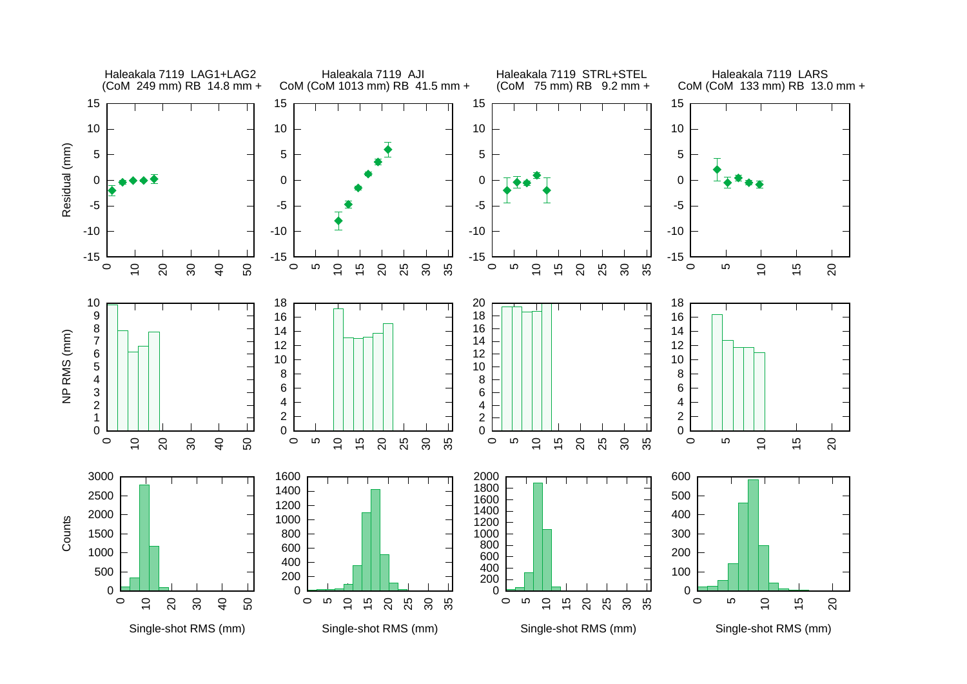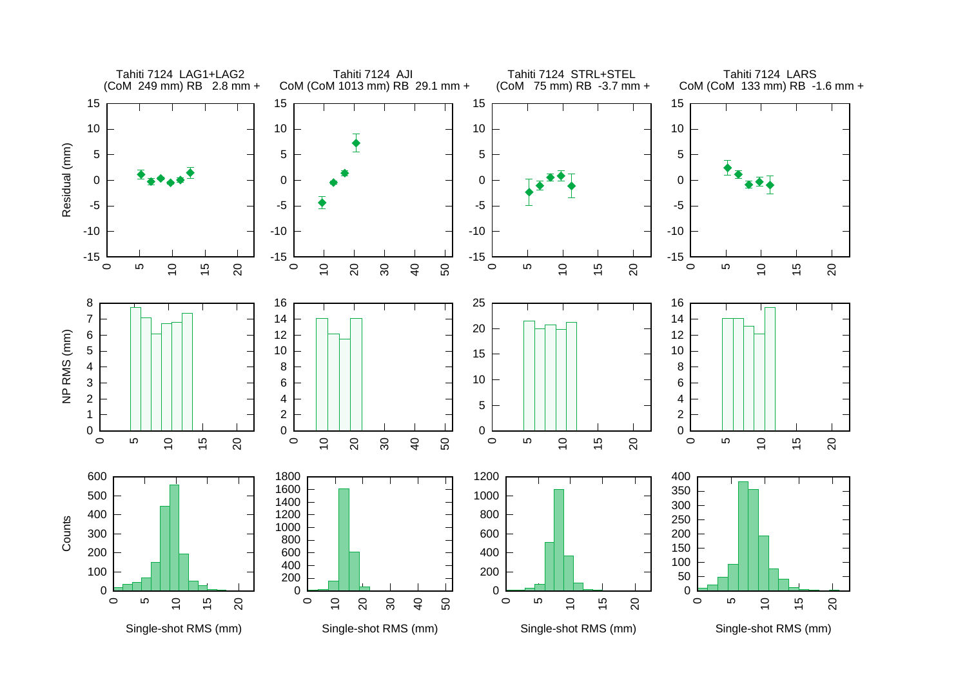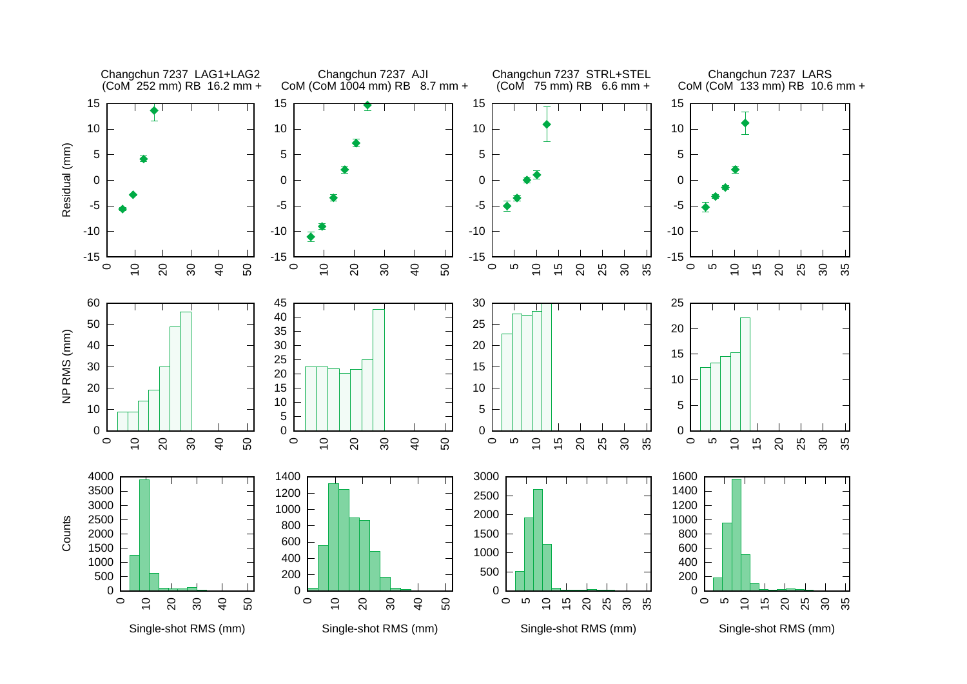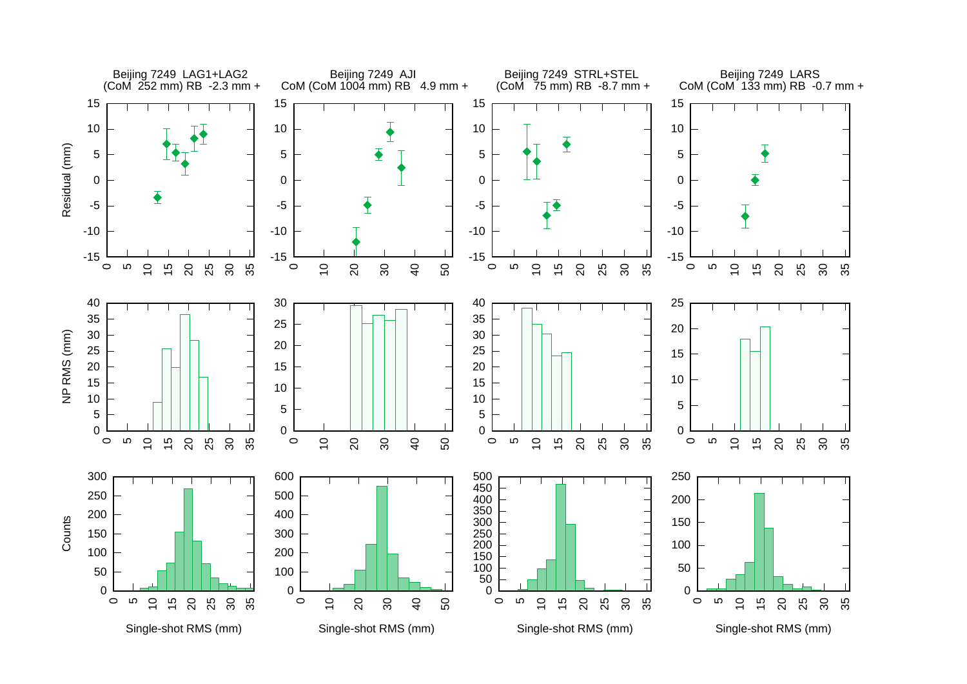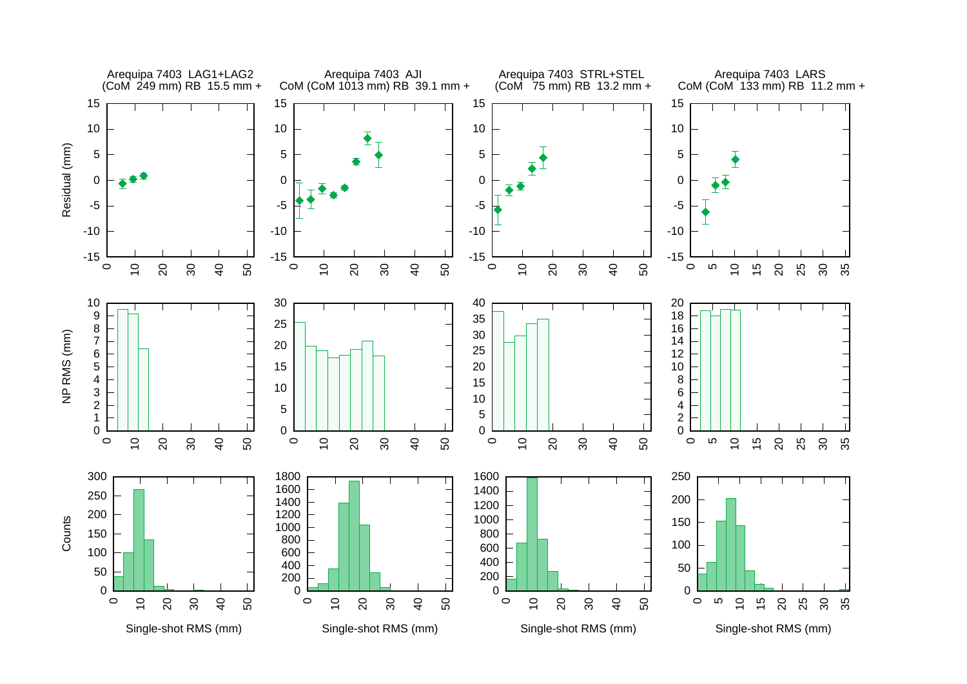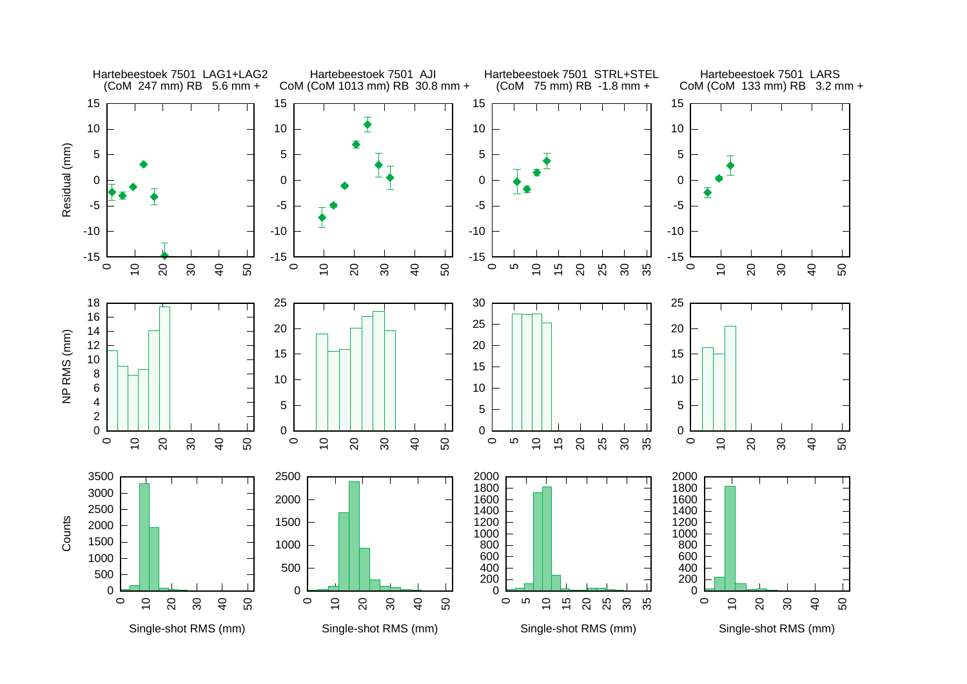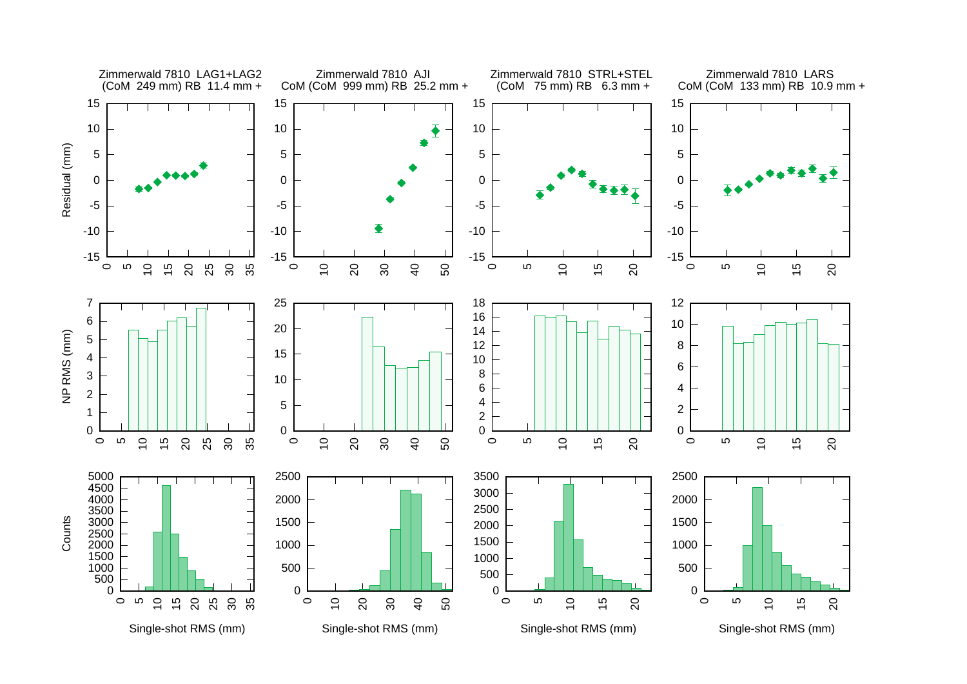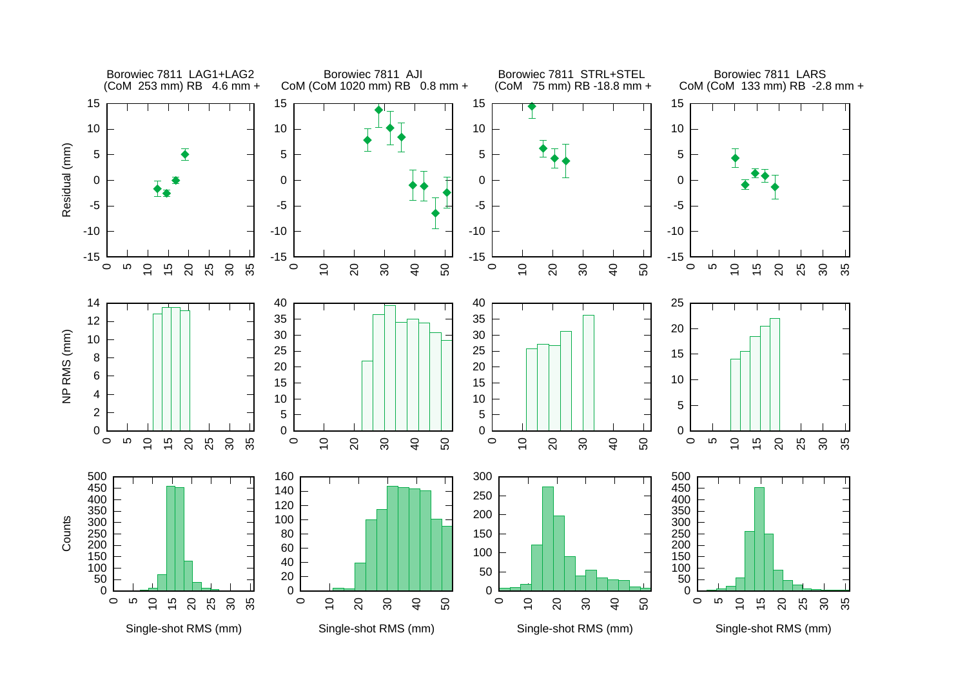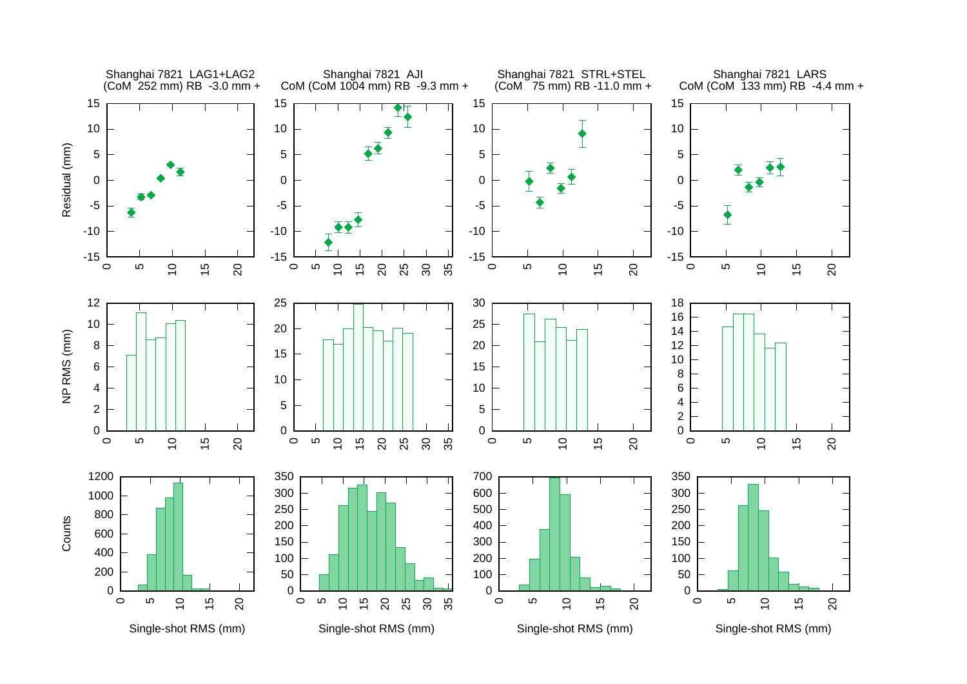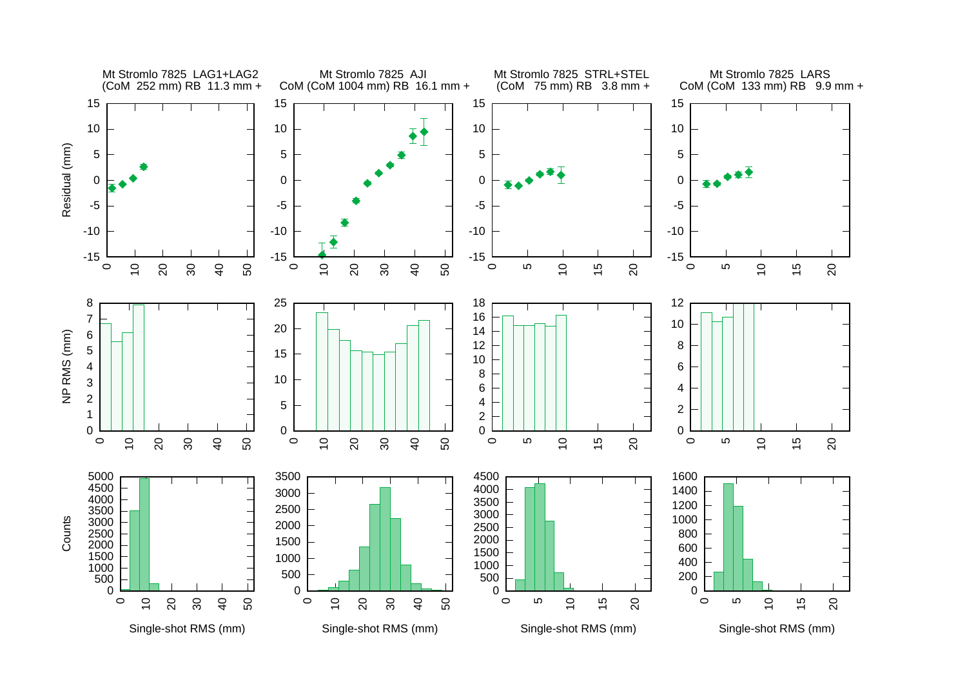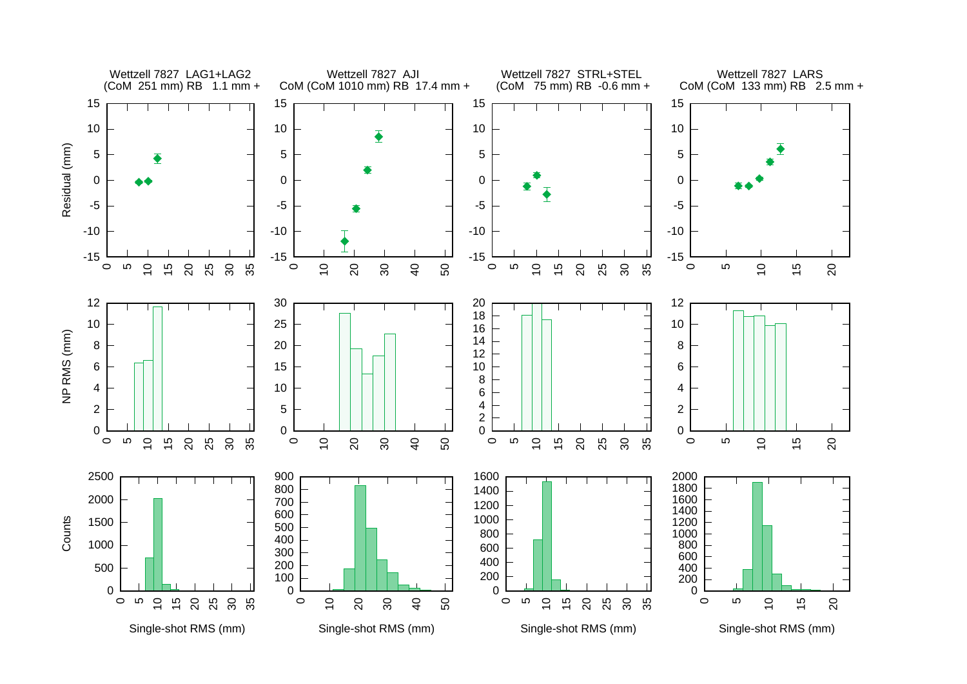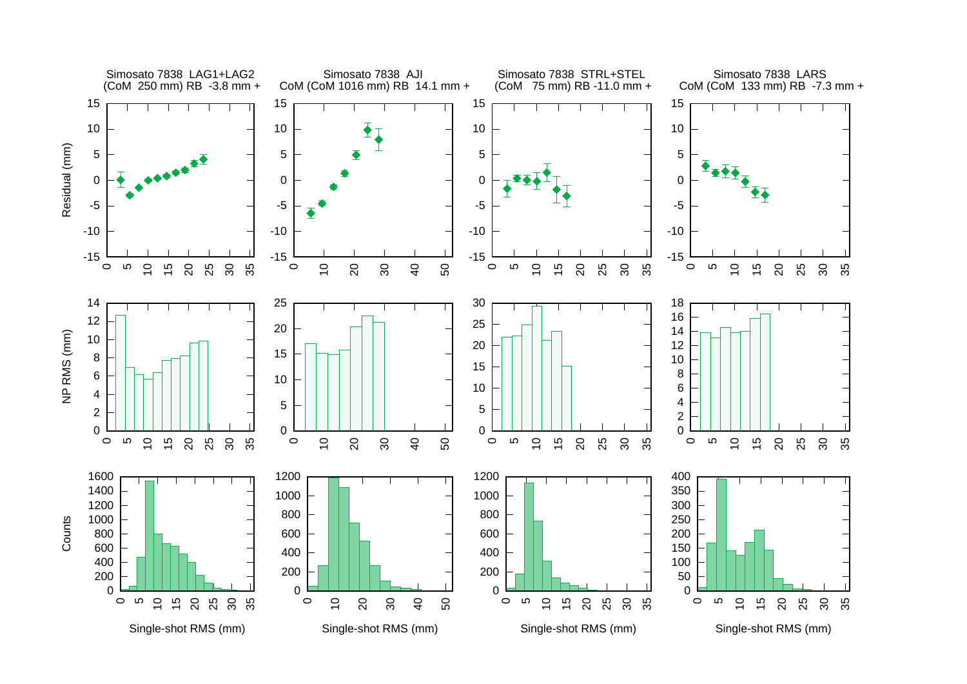![](_page_25_Figure_0.jpeg)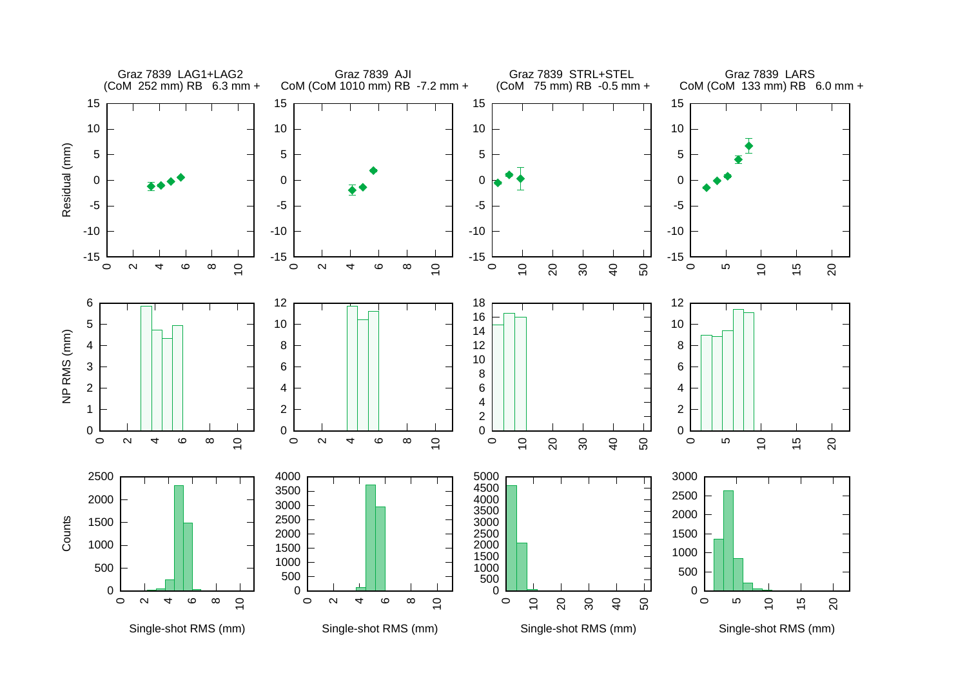![](_page_26_Figure_0.jpeg)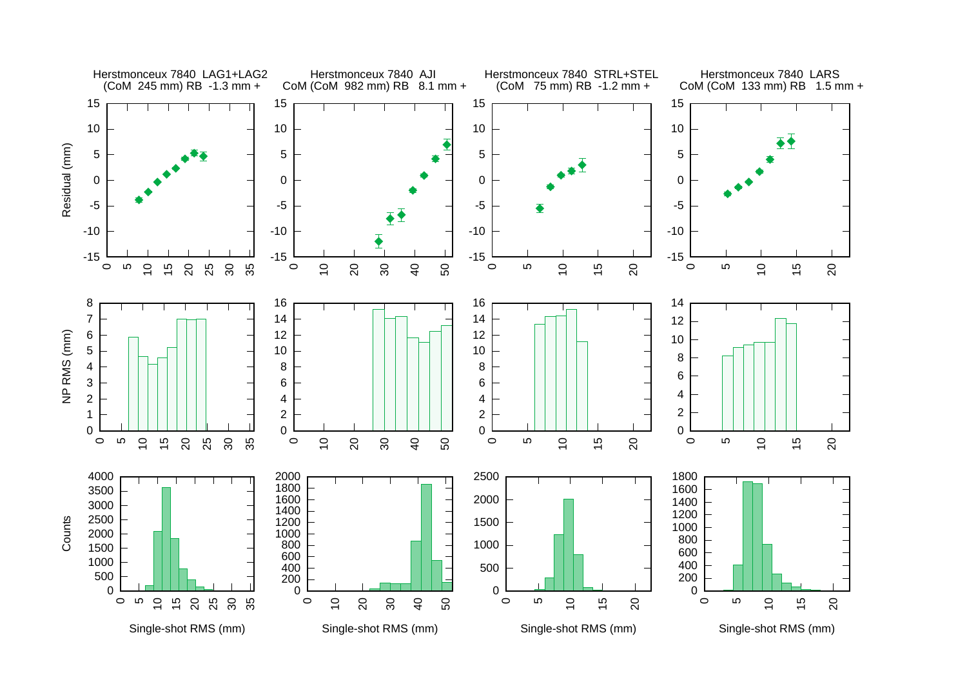![](_page_27_Figure_0.jpeg)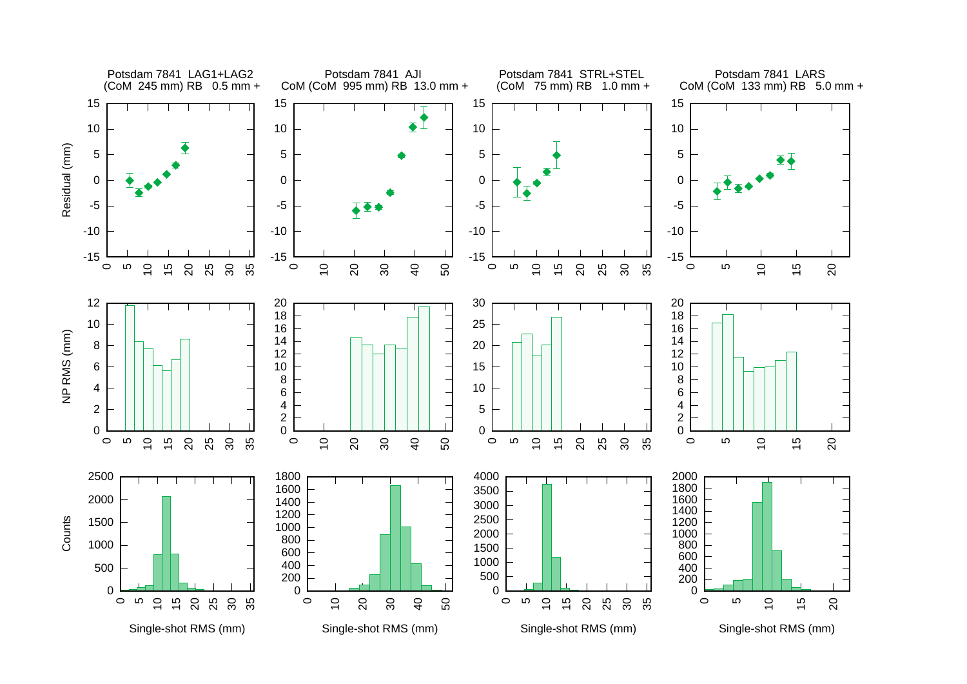![](_page_28_Figure_0.jpeg)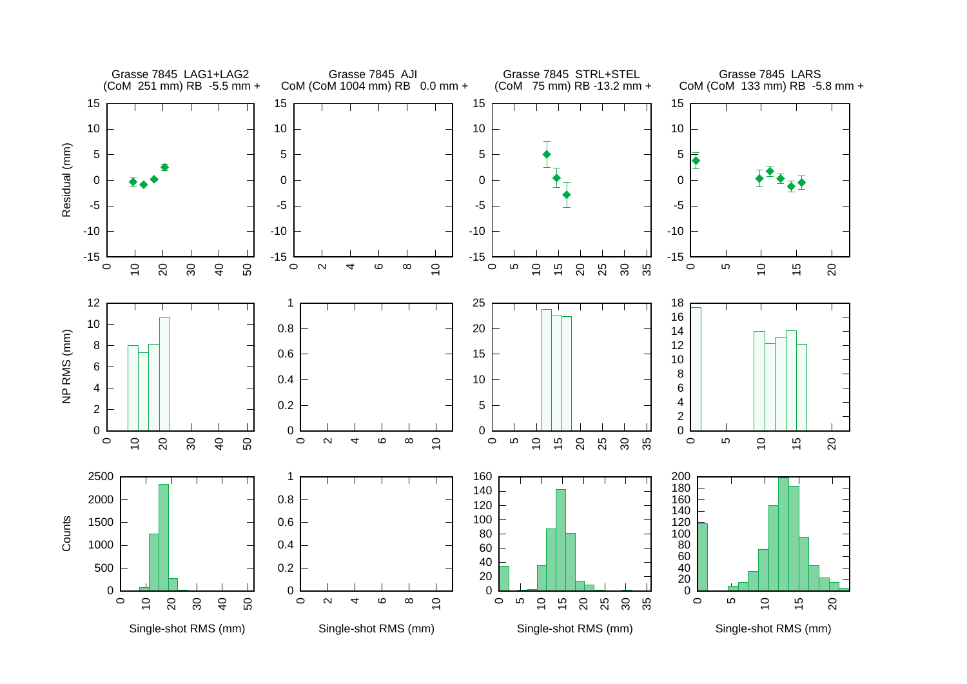![](_page_29_Figure_0.jpeg)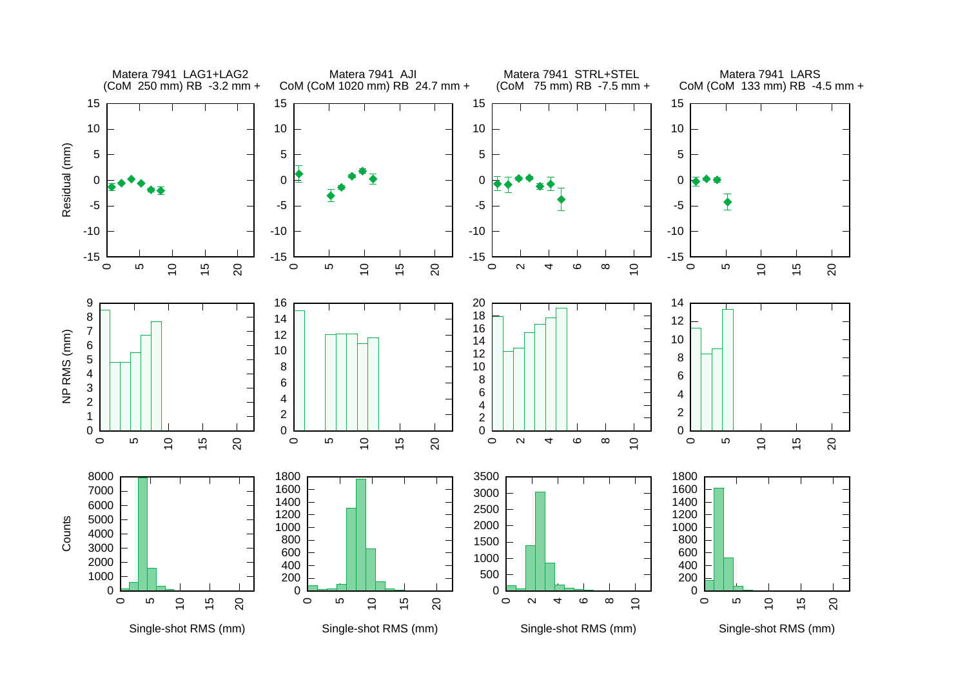![](_page_30_Figure_0.jpeg)